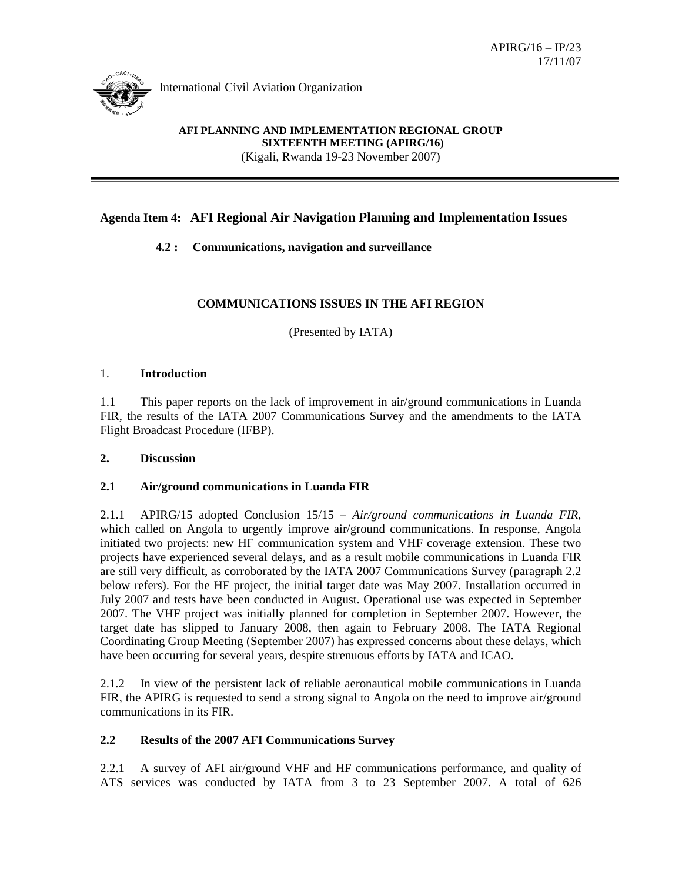

International Civil Aviation Organization

#### **AFI PLANNING AND IMPLEMENTATION REGIONAL GROUP SIXTEENTH MEETING (APIRG/16)** (Kigali, Rwanda 19-23 November 2007)

# **Agenda Item 4: AFI Regional Air Navigation Planning and Implementation Issues**

# **4.2 : Communications, navigation and surveillance**

# **COMMUNICATIONS ISSUES IN THE AFI REGION**

(Presented by IATA)

#### 1. **Introduction**

1.1 This paper reports on the lack of improvement in air/ground communications in Luanda FIR, the results of the IATA 2007 Communications Survey and the amendments to the IATA Flight Broadcast Procedure (IFBP).

### **2. Discussion**

### **2.1 Air/ground communications in Luanda FIR**

2.1.1 APIRG/15 adopted Conclusion 15/15 – *Air/ground communications in Luanda FIR*, which called on Angola to urgently improve air/ground communications. In response, Angola initiated two projects: new HF communication system and VHF coverage extension. These two projects have experienced several delays, and as a result mobile communications in Luanda FIR are still very difficult, as corroborated by the IATA 2007 Communications Survey (paragraph 2.2 below refers). For the HF project, the initial target date was May 2007. Installation occurred in July 2007 and tests have been conducted in August. Operational use was expected in September 2007. The VHF project was initially planned for completion in September 2007. However, the target date has slipped to January 2008, then again to February 2008. The IATA Regional Coordinating Group Meeting (September 2007) has expressed concerns about these delays, which have been occurring for several years, despite strenuous efforts by IATA and ICAO.

2.1.2 In view of the persistent lack of reliable aeronautical mobile communications in Luanda FIR, the APIRG is requested to send a strong signal to Angola on the need to improve air/ground communications in its FIR.

### **2.2 Results of the 2007 AFI Communications Survey**

2.2.1 A survey of AFI air/ground VHF and HF communications performance, and quality of ATS services was conducted by IATA from 3 to 23 September 2007. A total of 626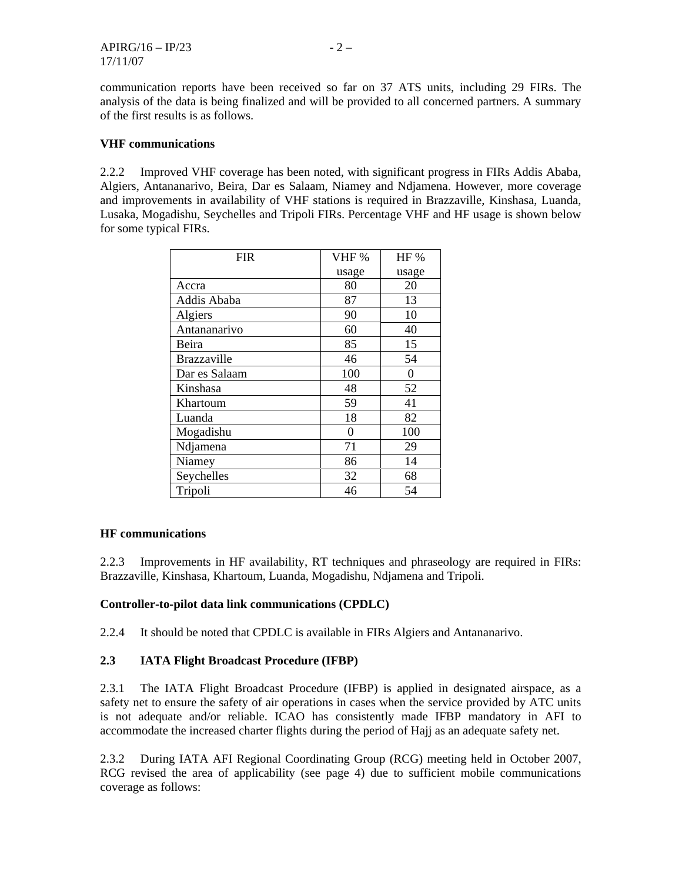communication reports have been received so far on 37 ATS units, including 29 FIRs. The analysis of the data is being finalized and will be provided to all concerned partners. A summary of the first results is as follows.

### **VHF communications**

2.2.2 Improved VHF coverage has been noted, with significant progress in FIRs Addis Ababa, Algiers, Antananarivo, Beira, Dar es Salaam, Niamey and Ndjamena. However, more coverage and improvements in availability of VHF stations is required in Brazzaville, Kinshasa, Luanda, Lusaka, Mogadishu, Seychelles and Tripoli FIRs. Percentage VHF and HF usage is shown below for some typical FIRs.

| <b>FIR</b>         | VHF%  | HF %  |
|--------------------|-------|-------|
|                    | usage | usage |
| Accra              | 80    | 20    |
| Addis Ababa        | 87    | 13    |
| Algiers            | 90    | 10    |
| Antananarivo       | 60    | 40    |
| Beira              | 85    | 15    |
| <b>Brazzaville</b> | 46    | 54    |
| Dar es Salaam      | 100   | 0     |
| Kinshasa           | 48    | 52    |
| Khartoum           | 59    | 41    |
| Luanda             | 18    | 82    |
| Mogadishu          | 0     | 100   |
| Ndjamena           | 71    | 29    |
| Niamey             | 86    | 14    |
| Seychelles         | 32    | 68    |
| Tripoli            | 46    | 54    |

#### **HF communications**

2.2.3 Improvements in HF availability, RT techniques and phraseology are required in FIRs: Brazzaville, Kinshasa, Khartoum, Luanda, Mogadishu, Ndjamena and Tripoli.

### **Controller-to-pilot data link communications (CPDLC)**

2.2.4 It should be noted that CPDLC is available in FIRs Algiers and Antananarivo.

### **2.3 IATA Flight Broadcast Procedure (IFBP)**

2.3.1 The IATA Flight Broadcast Procedure (IFBP) is applied in designated airspace, as a safety net to ensure the safety of air operations in cases when the service provided by ATC units is not adequate and/or reliable. ICAO has consistently made IFBP mandatory in AFI to accommodate the increased charter flights during the period of Hajj as an adequate safety net.

2.3.2 During IATA AFI Regional Coordinating Group (RCG) meeting held in October 2007, RCG revised the area of applicability (see page 4) due to sufficient mobile communications coverage as follows: